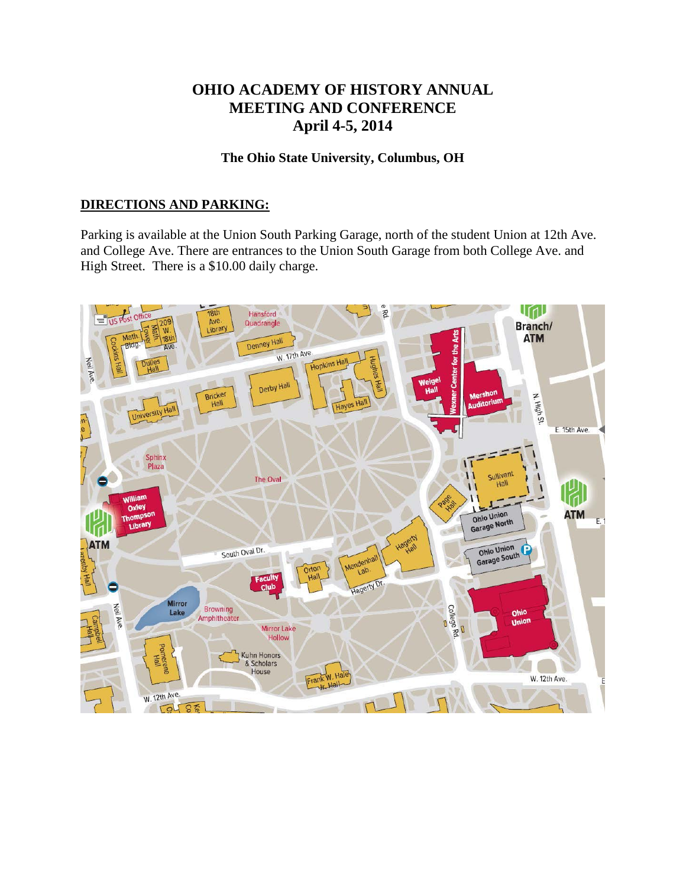# **OHIO ACADEMY OF HISTORY ANNUAL MEETING AND CONFERENCE April 4-5, 2014**

## **The Ohio State University, Columbus, OH**

## **DIRECTIONS AND PARKING:**

Parking is available at the Union South Parking Garage, north of the student Union at 12th Ave. and College Ave. There are entrances to the Union South Garage from both College Ave. and High Street. There is a \$10.00 daily charge.

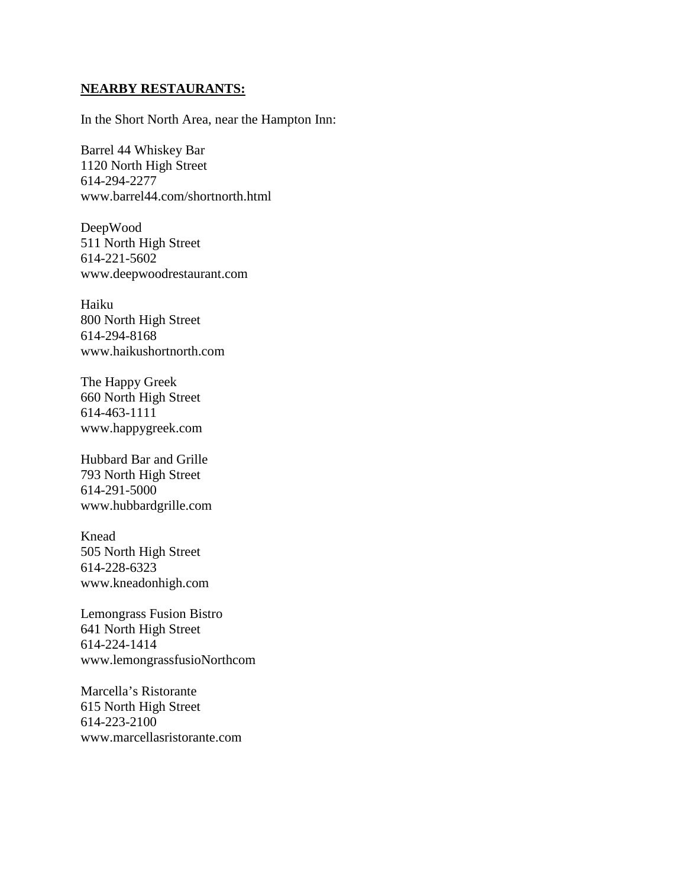#### **NEARBY RESTAURANTS:**

In the Short North Area, near the Hampton Inn:

Barrel 44 Whiskey Bar 1120 North High Street 614-294-2277 www.barrel44.com/shortnorth.html

DeepWood 511 North High Street 614-221-5602 www.deepwoodrestaurant.com

Haiku 800 North High Street 614-294-8168 www.haikushortnorth.com

The Happy Greek 660 North High Street 614-463-1111 www.happygreek.com

Hubbard Bar and Grille 793 North High Street 614-291-5000 www.hubbardgrille.com

Knead 505 North High Street 614-228-6323 www.kneadonhigh.com

Lemongrass Fusion Bistro 641 North High Street 614-224-1414 www.lemongrassfusioNorthcom

Marcella's Ristorante 615 North High Street 614-223-2100 www.marcellasristorante.com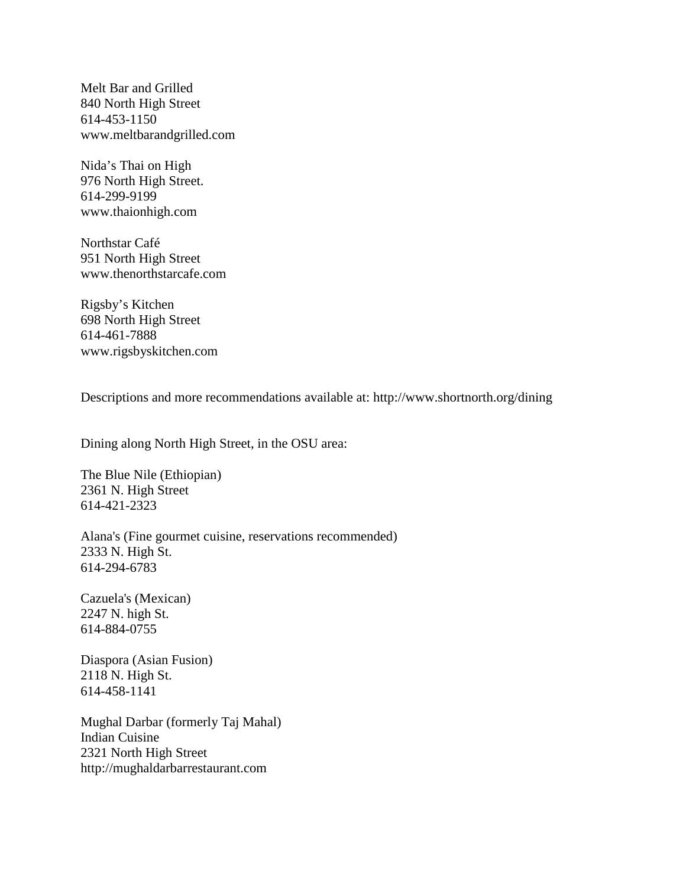Melt Bar and Grilled 840 North High Street 614-453-1150 www.meltbarandgrilled.com

Nida's Thai on High 976 North High Street. 614-299-9199 www.thaionhigh.com

Northstar Café 951 North High Street www.thenorthstarcafe.com

Rigsby's Kitchen 698 North High Street 614-461-7888 www.rigsbyskitchen.com

Descriptions and more recommendations available at: http://www.shortnorth.org/dining

Dining along North High Street, in the OSU area:

The Blue Nile (Ethiopian) 2361 N. High Street 614-421-2323

Alana's (Fine gourmet cuisine, reservations recommended) 2333 N. High St. 614-294-6783

Cazuela's (Mexican) 2247 N. high St. 614-884-0755

Diaspora (Asian Fusion) 2118 N. High St. 614-458-1141

Mughal Darbar (formerly Taj Mahal) Indian Cuisine 2321 North High Street http://mughaldarbarrestaurant.com